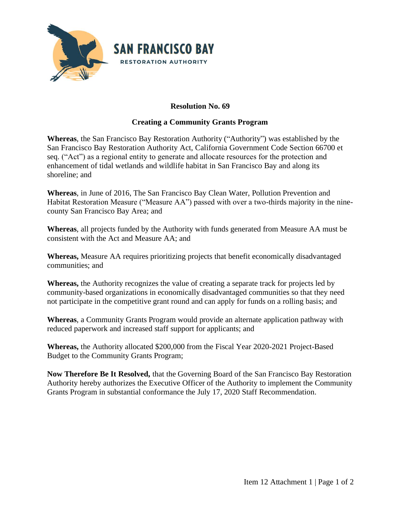

## **Resolution No. 69**

## **Creating a Community Grants Program**

**Whereas**, the San Francisco Bay Restoration Authority ("Authority") was established by the San Francisco Bay Restoration Authority Act, California Government Code Section 66700 et seq. ("Act") as a regional entity to generate and allocate resources for the protection and enhancement of tidal wetlands and wildlife habitat in San Francisco Bay and along its shoreline; and

**Whereas**, in June of 2016, The San Francisco Bay Clean Water, Pollution Prevention and Habitat Restoration Measure ("Measure AA") passed with over a two-thirds majority in the ninecounty San Francisco Bay Area; and

**Whereas**, all projects funded by the Authority with funds generated from Measure AA must be consistent with the Act and Measure AA; and

**Whereas,** Measure AA requires prioritizing projects that benefit economically disadvantaged communities; and

**Whereas,** the Authority recognizes the value of creating a separate track for projects led by community-based organizations in economically disadvantaged communities so that they need not participate in the competitive grant round and can apply for funds on a rolling basis; and

**Whereas**, a Community Grants Program would provide an alternate application pathway with reduced paperwork and increased staff support for applicants; and

**Whereas,** the Authority allocated \$200,000 from the Fiscal Year 2020-2021 Project-Based Budget to the Community Grants Program;

**Now Therefore Be It Resolved,** that the Governing Board of the San Francisco Bay Restoration Authority hereby authorizes the Executive Officer of the Authority to implement the Community Grants Program in substantial conformance the July 17, 2020 Staff Recommendation.